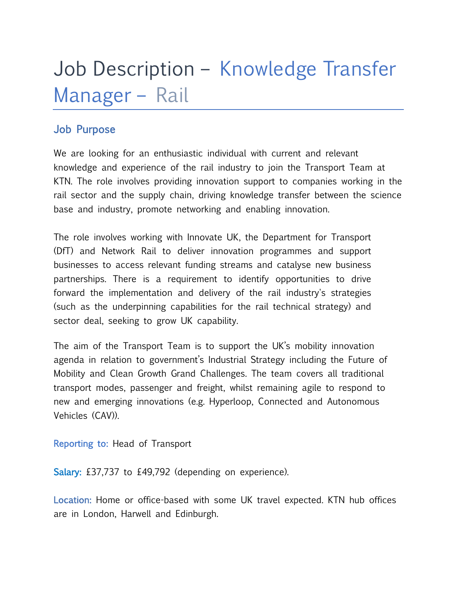# Job Description – Knowledge Transfer Manager – Rail

#### Job Purpose

We are looking for an enthusiastic individual with current and relevant knowledge and experience of the rail industry to join the Transport Team at KTN. The role involves providing innovation support to companies working in the rail sector and the supply chain, driving knowledge transfer between the science base and industry, promote networking and enabling innovation.

The role involves working with Innovate UK, the Department for Transport (DfT) and Network Rail to deliver innovation programmes and support businesses to access relevant funding streams and catalyse new business partnerships. There is a requirement to identify opportunities to drive forward the implementation and delivery of the rail industry's strategies (such as the underpinning capabilities for the rail technical strategy) and sector deal, seeking to grow UK capability.

The aim of the Transport Team is to support the UK's mobility innovation agenda in relation to government's Industrial Strategy including the Future of Mobility and Clean Growth Grand Challenges. The team covers all traditional transport modes, passenger and freight, whilst remaining agile to respond to new and emerging innovations (e.g. Hyperloop, Connected and Autonomous Vehicles (CAV)).

Reporting to: Head of Transport

Salary: £37,737 to £49,792 (depending on experience).

Location: Home or office-based with some UK travel expected. KTN hub offices are in London, Harwell and Edinburgh.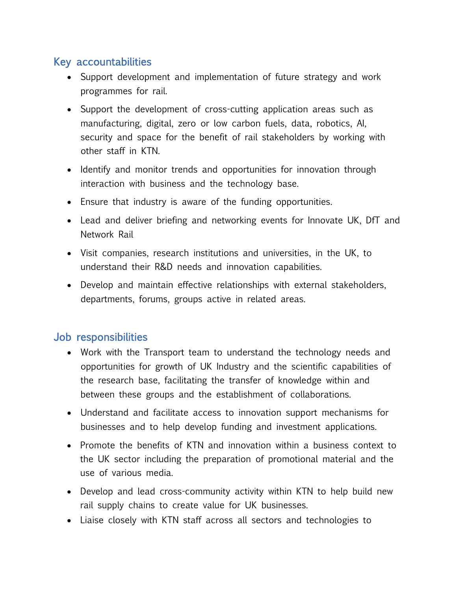## Key accountabilities

- Support development and implementation of future strategy and work programmes for rail.
- Support the development of cross-cutting application areas such as manufacturing, digital, zero or low carbon fuels, data, robotics, AI, security and space for the benefit of rail stakeholders by working with other staff in KTN.
- Identify and monitor trends and opportunities for innovation through interaction with business and the technology base.
- Ensure that industry is aware of the funding opportunities.
- Lead and deliver briefing and networking events for Innovate UK, DfT and Network Rail
- Visit companies, research institutions and universities, in the UK, to understand their R&D needs and innovation capabilities.
- Develop and maintain effective relationships with external stakeholders, departments, forums, groups active in related areas.

## Job responsibilities

- Work with the Transport team to understand the technology needs and opportunities for growth of UK Industry and the scientific capabilities of the research base, facilitating the transfer of knowledge within and between these groups and the establishment of collaborations.
- Understand and facilitate access to innovation support mechanisms for businesses and to help develop funding and investment applications.
- Promote the benefits of KTN and innovation within a business context to the UK sector including the preparation of promotional material and the use of various media.
- Develop and lead cross-community activity within KTN to help build new rail supply chains to create value for UK businesses.
- Liaise closely with KTN staff across all sectors and technologies to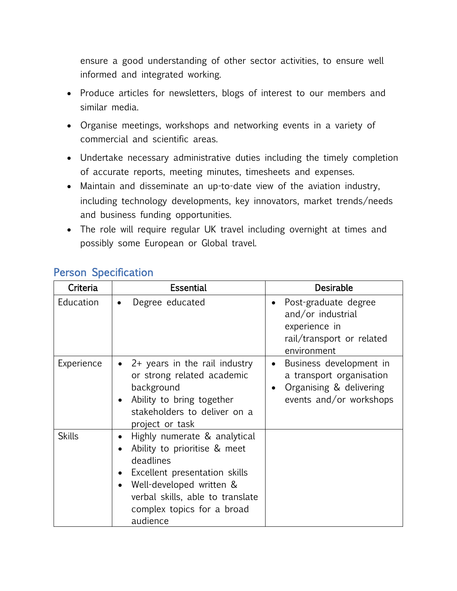ensure a good understanding of other sector activities, to ensure well informed and integrated working.

- Produce articles for newsletters, blogs of interest to our members and similar media.
- Organise meetings, workshops and networking events in a variety of commercial and scientific areas.
- Undertake necessary administrative duties including the timely completion of accurate reports, meeting minutes, timesheets and expenses.
- Maintain and disseminate an up-to-date view of the aviation industry, including technology developments, key innovators, market trends/needs and business funding opportunities.
- The role will require regular UK travel including overnight at times and possibly some European or Global travel.

| Criteria      | <b>Essential</b>                                                                                                                                                                                                                               | <b>Desirable</b>                                                                                                       |
|---------------|------------------------------------------------------------------------------------------------------------------------------------------------------------------------------------------------------------------------------------------------|------------------------------------------------------------------------------------------------------------------------|
| Education     | Degree educated<br>$\bullet$                                                                                                                                                                                                                   | Post-graduate degree<br>and/or industrial<br>experience in<br>rail/transport or related<br>environment                 |
| Experience    | $2+$ years in the rail industry<br>or strong related academic<br>background<br>Ability to bring together<br>stakeholders to deliver on a<br>project or task                                                                                    | Business development in<br>$\bullet$<br>a transport organisation<br>Organising & delivering<br>events and/or workshops |
| <b>Skills</b> | Highly numerate & analytical<br>Ability to prioritise & meet<br>deadlines<br>Excellent presentation skills<br>$\bullet$<br>Well-developed written &<br>$\bullet$<br>verbal skills, able to translate<br>complex topics for a broad<br>audience |                                                                                                                        |

## Person Specification